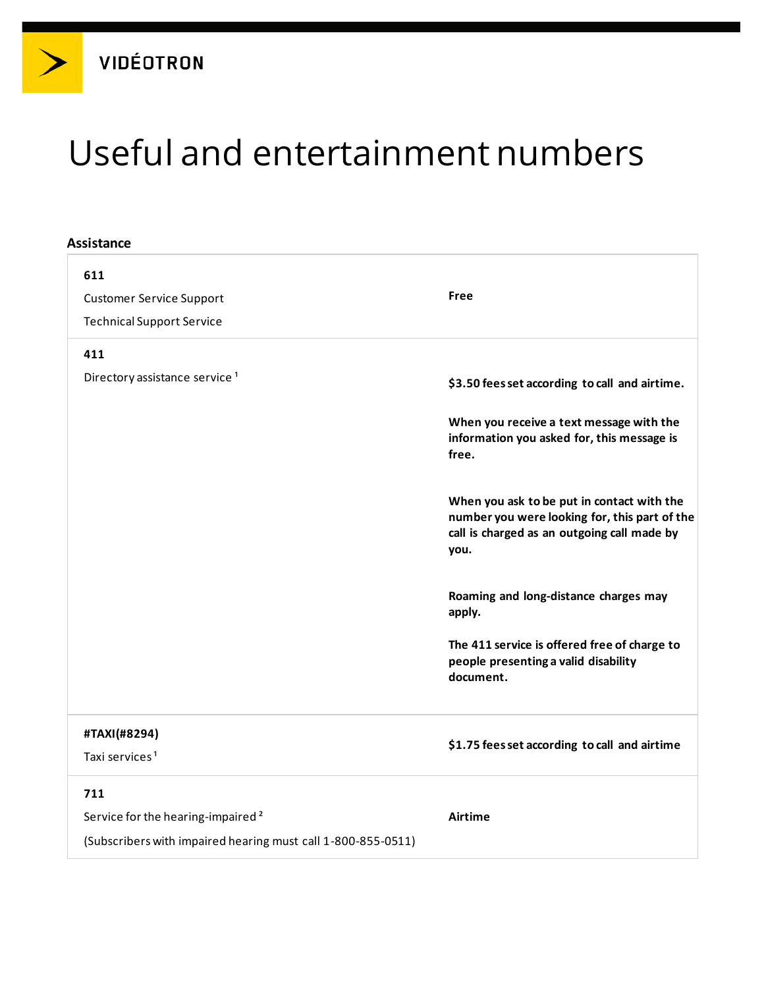# Useful and entertainment numbers

#### **Assistance**

| 611<br><b>Customer Service Support</b><br><b>Technical Support Service</b>                                    | Free                                                                                                                                               |
|---------------------------------------------------------------------------------------------------------------|----------------------------------------------------------------------------------------------------------------------------------------------------|
| 411                                                                                                           |                                                                                                                                                    |
| Directory assistance service <sup>1</sup>                                                                     | \$3.50 fees set according to call and airtime.                                                                                                     |
|                                                                                                               | When you receive a text message with the<br>information you asked for, this message is<br>free.                                                    |
|                                                                                                               | When you ask to be put in contact with the<br>number you were looking for, this part of the<br>call is charged as an outgoing call made by<br>you. |
|                                                                                                               | Roaming and long-distance charges may<br>apply.                                                                                                    |
|                                                                                                               | The 411 service is offered free of charge to<br>people presenting a valid disability<br>document.                                                  |
| #TAXI(#8294)                                                                                                  | \$1.75 fees set according to call and airtime                                                                                                      |
| Taxi services <sup>1</sup>                                                                                    |                                                                                                                                                    |
| 711                                                                                                           |                                                                                                                                                    |
| Service for the hearing-impaired <sup>2</sup><br>(Subscribers with impaired hearing must call 1-800-855-0511) | Airtime                                                                                                                                            |
|                                                                                                               |                                                                                                                                                    |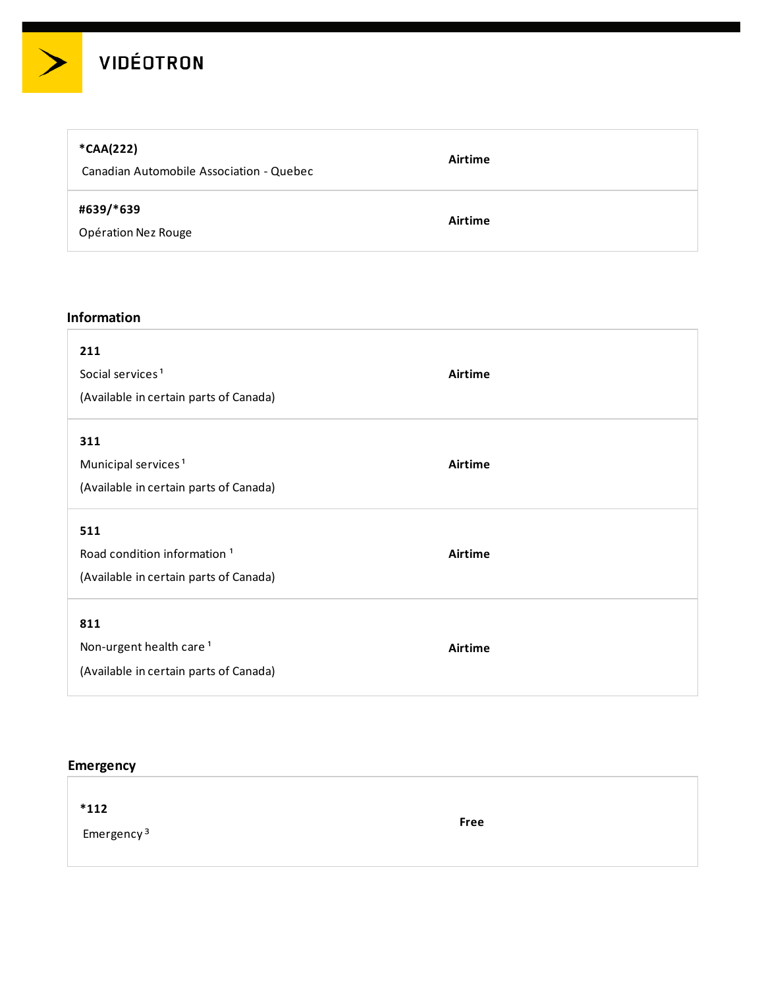

# **\*CAA(222)**

Canadian Automobile Association - Quebec

### **#639/\*639**

Opération Nez Rouge

#### **Information**

| 211<br>Social services <sup>1</sup><br>(Available in certain parts of Canada)            | Airtime |
|------------------------------------------------------------------------------------------|---------|
| 311<br>Municipal services <sup>1</sup><br>(Available in certain parts of Canada)         | Airtime |
| 511<br>Road condition information <sup>1</sup><br>(Available in certain parts of Canada) | Airtime |
| 811<br>Non-urgent health care <sup>1</sup><br>(Available in certain parts of Canada)     | Airtime |

**Airtime**

**Airtime**

## **Emergency**

| $*112$                 |             |  |
|------------------------|-------------|--|
| Emergency <sup>3</sup> | <b>Free</b> |  |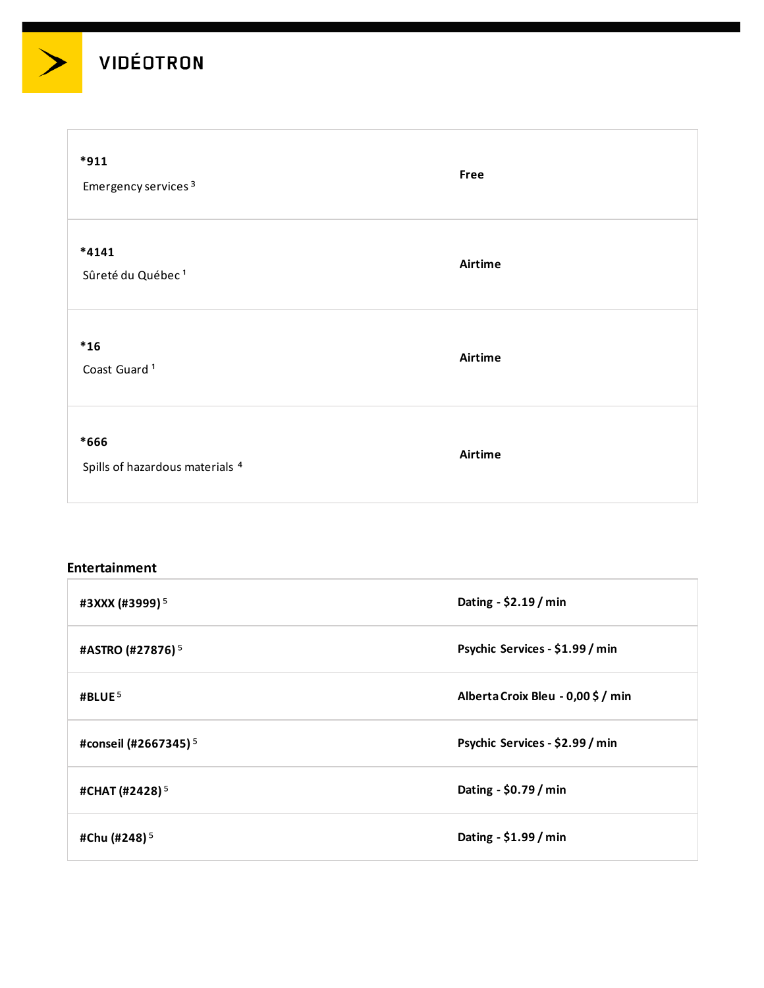$\geq$ 

| $*911$<br>Emergency services <sup>3</sup> | Free    |
|-------------------------------------------|---------|
| *4141<br>Sûreté du Québec <sup>1</sup>    | Airtime |
| $*16$<br>Coast Guard <sup>1</sup>         | Airtime |
| *666<br>Spills of hazardous materials 4   | Airtime |

#### **Entertainment**

| #3XXX (#3999) <sup>5</sup>       | Dating - \$2.19 / min              |
|----------------------------------|------------------------------------|
| #ASTRO (#27876) <sup>5</sup>     | Psychic Services - \$1.99 / min    |
| #BLUE <sup>5</sup>               | Alberta Croix Bleu - 0,00 \$ / min |
| #conseil (#2667345) <sup>5</sup> | Psychic Services - \$2.99 / min    |
| #CHAT (#2428) <sup>5</sup>       | Dating - \$0.79 / min              |
| #Chu (#248) <sup>5</sup>         | Dating - \$1.99 / min              |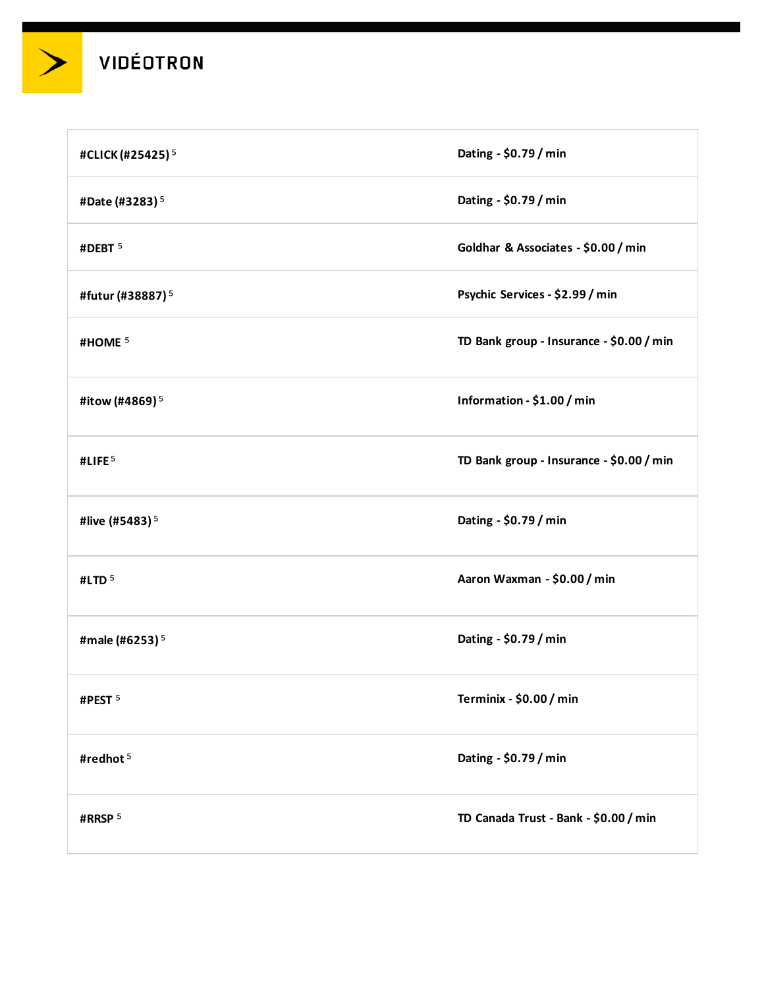

| #CLICK (#25425) <sup>5</sup> | Dating - \$0.79 / min                    |
|------------------------------|------------------------------------------|
| #Date (#3283) <sup>5</sup>   | Dating - \$0.79 / min                    |
| #DEBT <sup>5</sup>           | Goldhar & Associates - \$0.00 / min      |
| #futur (#38887) <sup>5</sup> | Psychic Services - \$2.99 / min          |
| #HOME <sup>5</sup>           | TD Bank group - Insurance - \$0.00 / min |
| #itow (#4869) <sup>5</sup>   | Information - \$1.00 / min               |
| #LIFE <sup>5</sup>           | TD Bank group - Insurance - \$0.00 / min |
| #live (#5483) <sup>5</sup>   | Dating - \$0.79 / min                    |
| #LTD <sup>5</sup>            | Aaron Waxman - \$0.00 / min              |
| #male (#6253) <sup>5</sup>   | Dating - \$0.79 / min                    |
| #PEST <sup>5</sup>           | Terminix - \$0.00 / min                  |
| #redhot <sup>5</sup>         | Dating - \$0.79 / min                    |
| #RRSP <sup>5</sup>           | TD Canada Trust - Bank - \$0.00 / min    |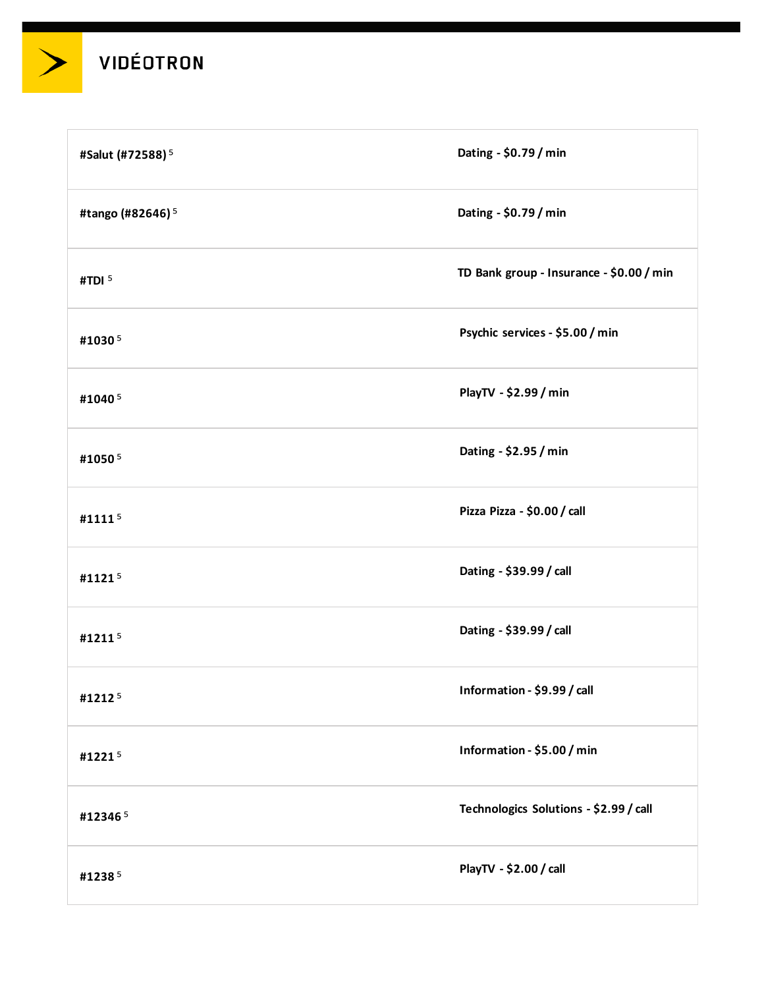

| #Salut (#72588) <sup>5</sup> | Dating - \$0.79 / min                    |
|------------------------------|------------------------------------------|
| #tango (#82646) <sup>5</sup> | Dating - \$0.79 / min                    |
| #TDI <sup>5</sup>            | TD Bank group - Insurance - \$0.00 / min |
| #10305                       | Psychic services - \$5.00 / min          |
| #10405                       | PlayTV - \$2.99 / min                    |
| #10505                       | Dating - \$2.95 / min                    |
| #11115                       | Pizza Pizza - \$0.00 / call              |
| #11215                       | Dating - \$39.99 / call                  |
| #12115                       | Dating - \$39.99 / call                  |
| #12125                       | Information - \$9.99 / call              |
| #12215                       | Information - \$5.00 / min               |
| #123465                      | Technologics Solutions - \$2.99 / call   |
| #12385                       | PlayTV - \$2.00 / call                   |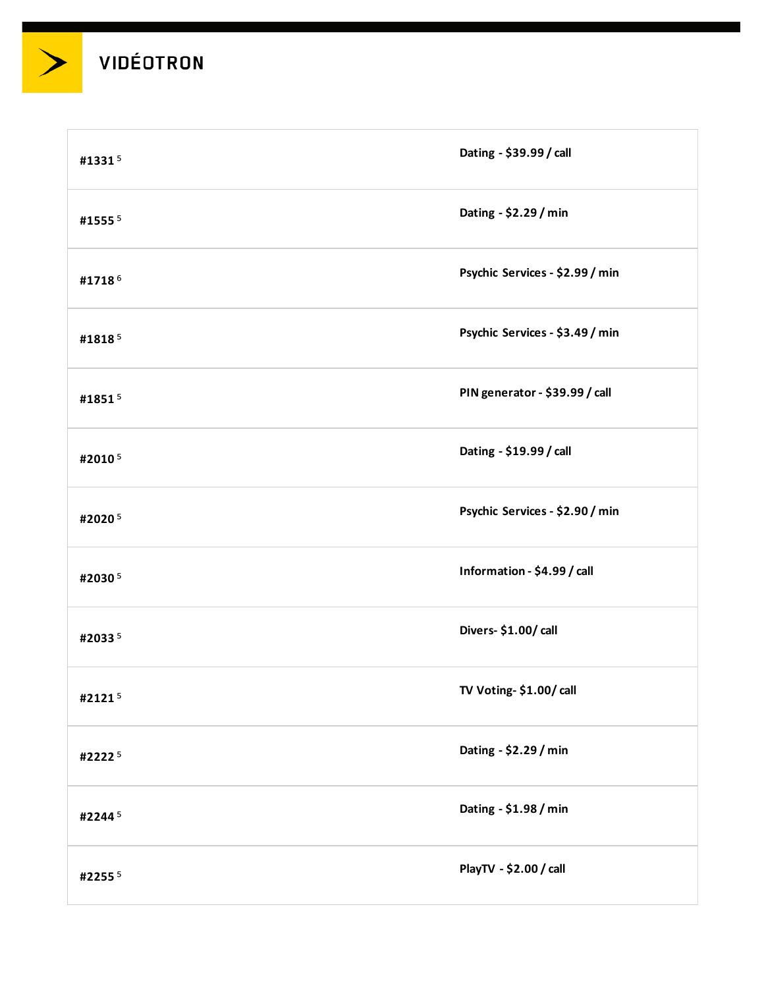

| #13315 | Dating - \$39.99 / call         |
|--------|---------------------------------|
| #15555 | Dating - \$2.29 / min           |
| #17186 | Psychic Services - \$2.99 / min |
| #18185 | Psychic Services - \$3.49 / min |
| #18515 | PIN generator - \$39.99 / call  |
| #20105 | Dating - \$19.99 / call         |
| #20205 | Psychic Services - \$2.90 / min |
| #20305 | Information - \$4.99 / call     |
| #20335 | Divers- \$1.00/ call            |
| #21215 | TV Voting- \$1.00/ call         |
| #22225 | Dating - \$2.29 / min           |
| #22445 | Dating - \$1.98 / min           |
| #22555 | PlayTV - \$2.00 / call          |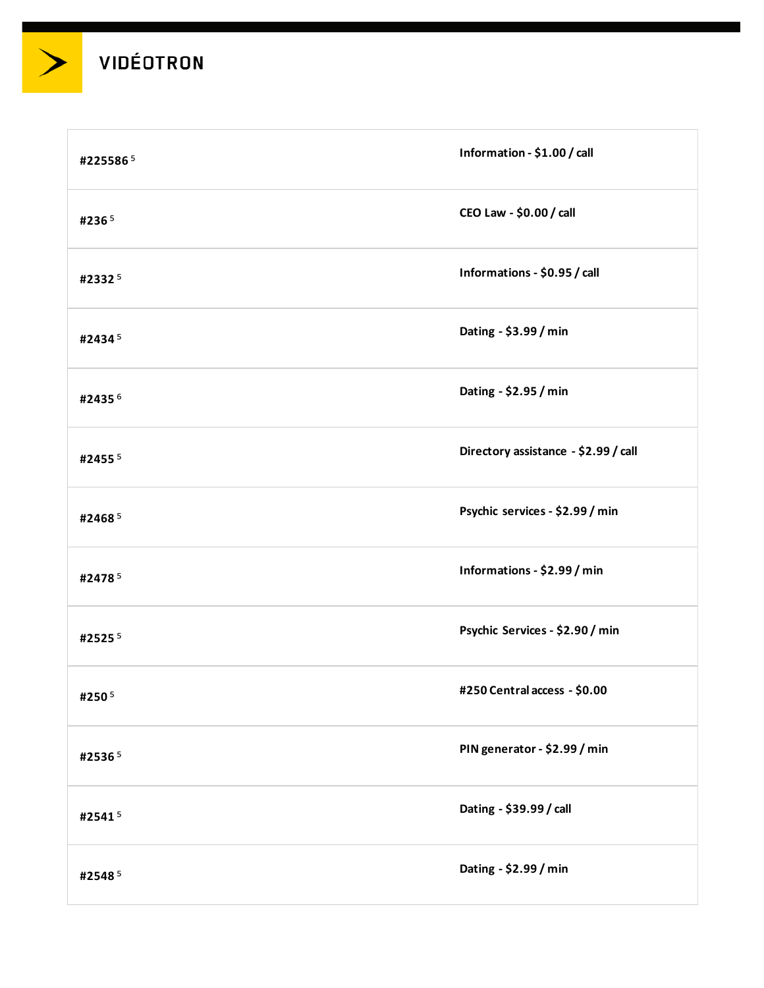| #2255865  | Information - \$1.00 / call          |
|-----------|--------------------------------------|
| #2365     | CEO Law - \$0.00 / call              |
| #23325    | Informations - \$0.95 / call         |
| #24345    | Dating - \$3.99 / min                |
| #24356    | Dating - \$2.95 / min                |
| #2455 $5$ | Directory assistance - \$2.99 / call |
| #24685    | Psychic services - \$2.99 / min      |
| #24785    | Informations - \$2.99 / min          |
| #25255    | Psychic Services - \$2.90 / min      |
| #250 $^5$ | #250 Central access - \$0.00         |
| #25365    | PIN generator - \$2.99 / min         |
| #25415    | Dating - \$39.99 / call              |
| #25485    | Dating - \$2.99 / min                |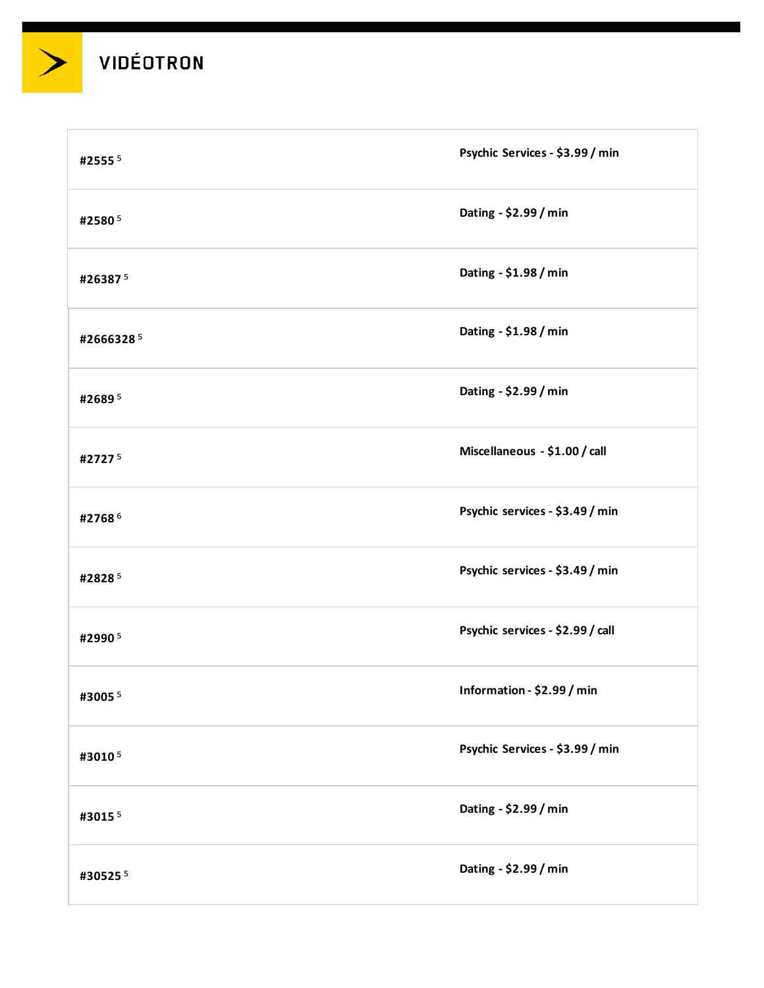

| #25555    | Psychic Services - \$3.99 / min  |
|-----------|----------------------------------|
| #25805    | Dating - \$2.99 / min            |
| #263875   | Dating - \$1.98 / min            |
| #26663285 | Dating - \$1.98 / min            |
| #26895    | Dating - \$2.99 / min            |
| #27275    | Miscellaneous - \$1.00 / call    |
| #27686    | Psychic services - \$3.49 / min  |
| #28285    | Psychic services - \$3.49 / min  |
| #29905    | Psychic services - \$2.99 / call |
| #30055    | Information - \$2.99 / min       |
| #30105    | Psychic Services - \$3.99 / min  |
| #30155    | Dating - \$2.99 / min            |
| #305255   | Dating - \$2.99 / min            |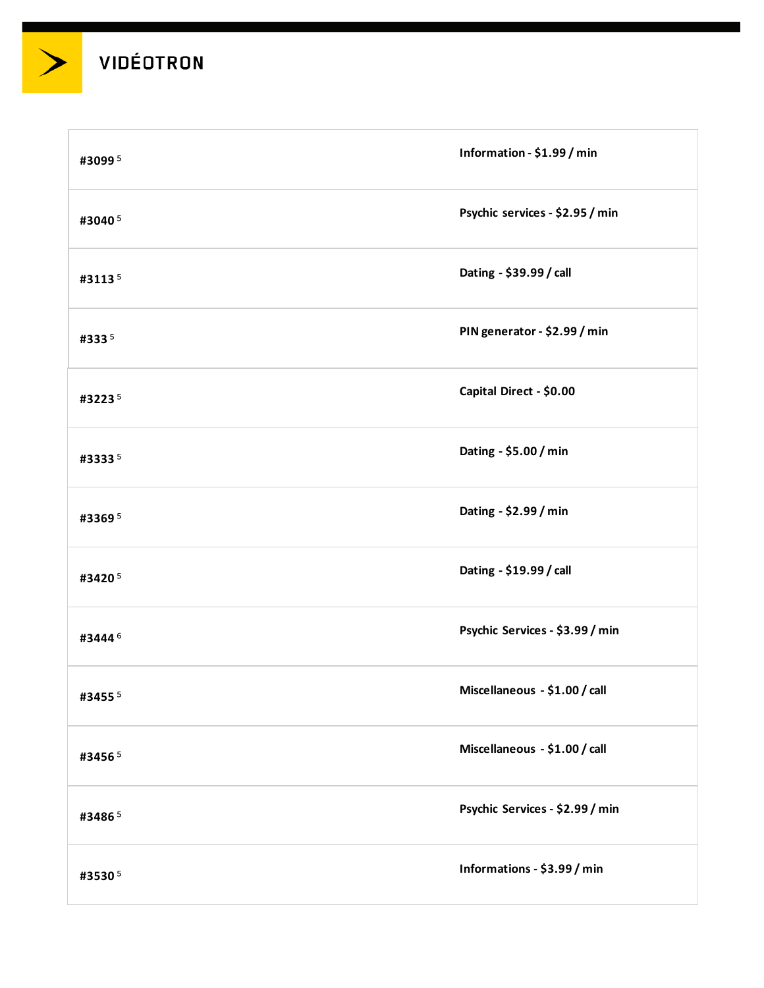| #30995    | Information - \$1.99 / min      |
|-----------|---------------------------------|
| #30405    | Psychic services - \$2.95 / min |
| #31135    | Dating - \$39.99 / call         |
| #3335     | PIN generator - \$2.99 / min    |
| #32235    | Capital Direct - \$0.00         |
| #33335    | Dating - \$5.00 / min           |
| #33695    | Dating - \$2.99 / min           |
| #34205    | Dating - \$19.99 / call         |
| #34446    | Psychic Services - \$3.99 / min |
| #3455 $5$ | Miscellaneous - \$1.00 / call   |
| #34565    | Miscellaneous - \$1.00 / call   |
| #34865    | Psychic Services - \$2.99 / min |
| #35305    | Informations - \$3.99 / min     |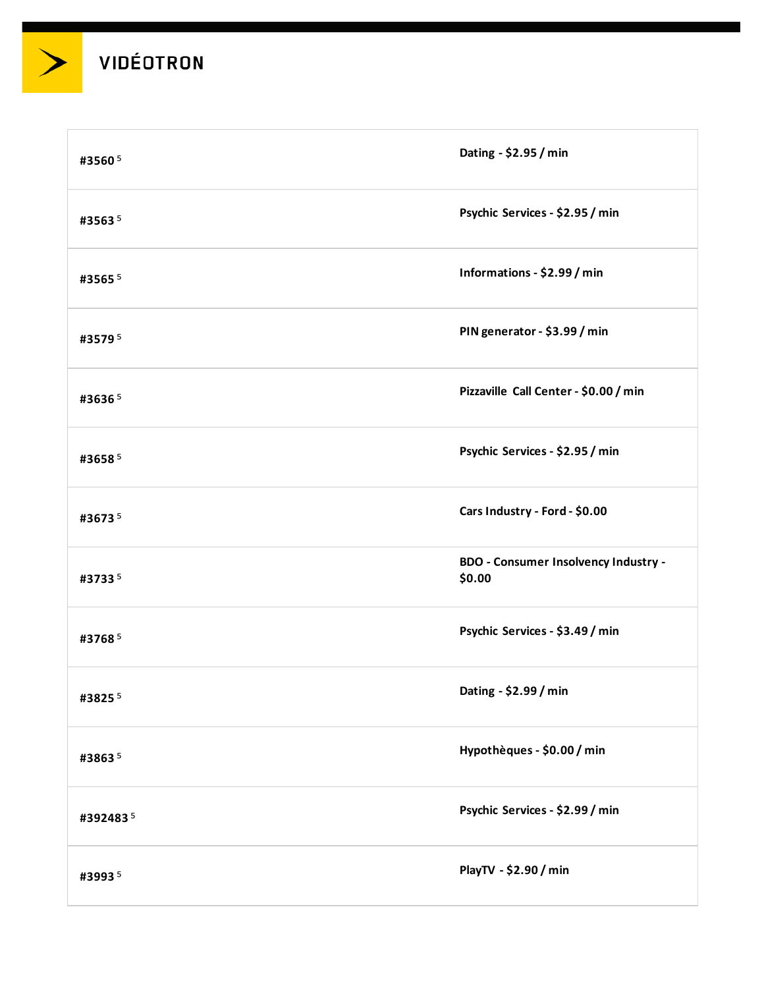| #35605    | Dating - \$2.95 / min                          |
|-----------|------------------------------------------------|
| #35635    | Psychic Services - \$2.95 / min                |
| #3565 $5$ | Informations - \$2.99 / min                    |
| #35795    | PIN generator - \$3.99 / min                   |
| #36365    | Pizzaville Call Center - \$0.00 / min          |
| #36585    | Psychic Services - \$2.95 / min                |
| #36735    | Cars Industry - Ford - \$0.00                  |
| #37335    | BDO - Consumer Insolvency Industry -<br>\$0.00 |
| #37685    | Psychic Services - \$3.49 / min                |
| #38255    | Dating - \$2.99 / min                          |
| #38635    | Hypothèques - \$0.00 / min                     |
| #3924835  | Psychic Services - \$2.99 / min                |
| #39935    | PlayTV - \$2.90 / min                          |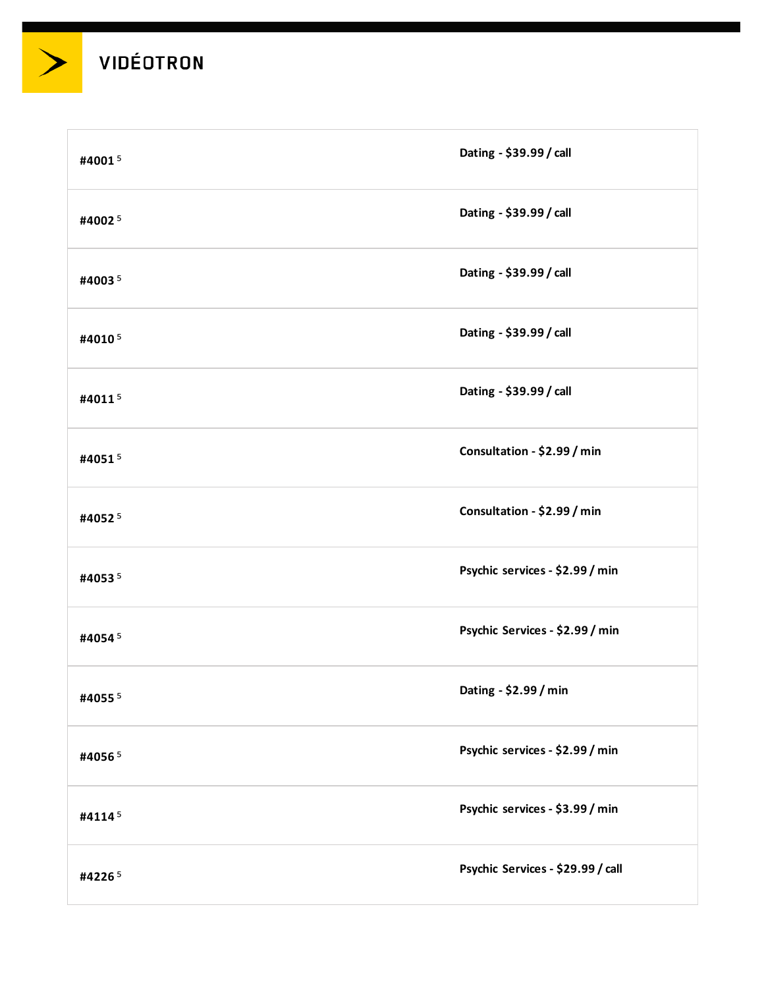

| #40015 | Dating - \$39.99 / call           |
|--------|-----------------------------------|
| #40025 | Dating - \$39.99 / call           |
| #40035 | Dating - \$39.99 / call           |
| #40105 | Dating - \$39.99 / call           |
| #40115 | Dating - \$39.99 / call           |
| #40515 | Consultation - \$2.99 / min       |
| #40525 | Consultation - \$2.99 / min       |
| #40535 | Psychic services - \$2.99 / min   |
| #40545 | Psychic Services - \$2.99 / min   |
| #40555 | Dating - \$2.99 / min             |
| #40565 | Psychic services - \$2.99 / min   |
| #41145 | Psychic services - \$3.99 / min   |
| #42265 | Psychic Services - \$29.99 / call |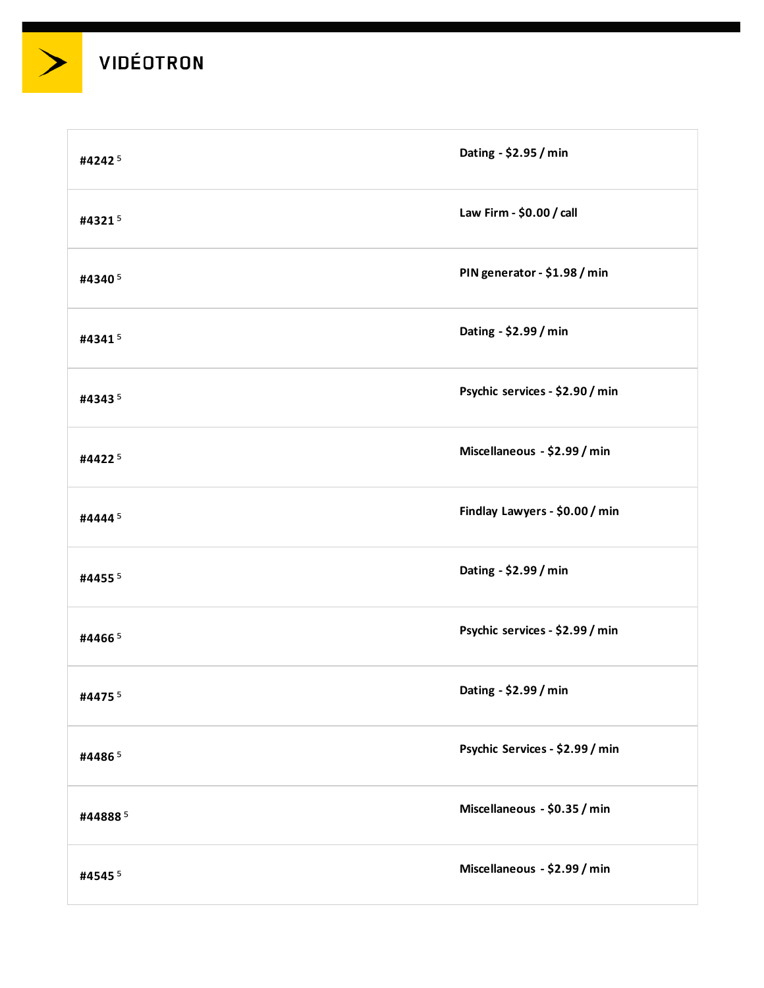

| #42425  | Dating - \$2.95 / min           |
|---------|---------------------------------|
| #43215  | Law Firm - \$0.00 / call        |
| #43405  | PIN generator - \$1.98 / min    |
| #43415  | Dating - \$2.99 / min           |
| #43435  | Psychic services - \$2.90 / min |
| #44225  | Miscellaneous - \$2.99 / min    |
| #44445  | Findlay Lawyers - \$0.00 / min  |
| #44555  | Dating - \$2.99 / min           |
| #44665  | Psychic services - \$2.99 / min |
| #44755  | Dating - \$2.99 / min           |
| #44865  | Psychic Services - \$2.99 / min |
| #448885 | Miscellaneous - \$0.35 / min    |
| #45455  | Miscellaneous - \$2.99 / min    |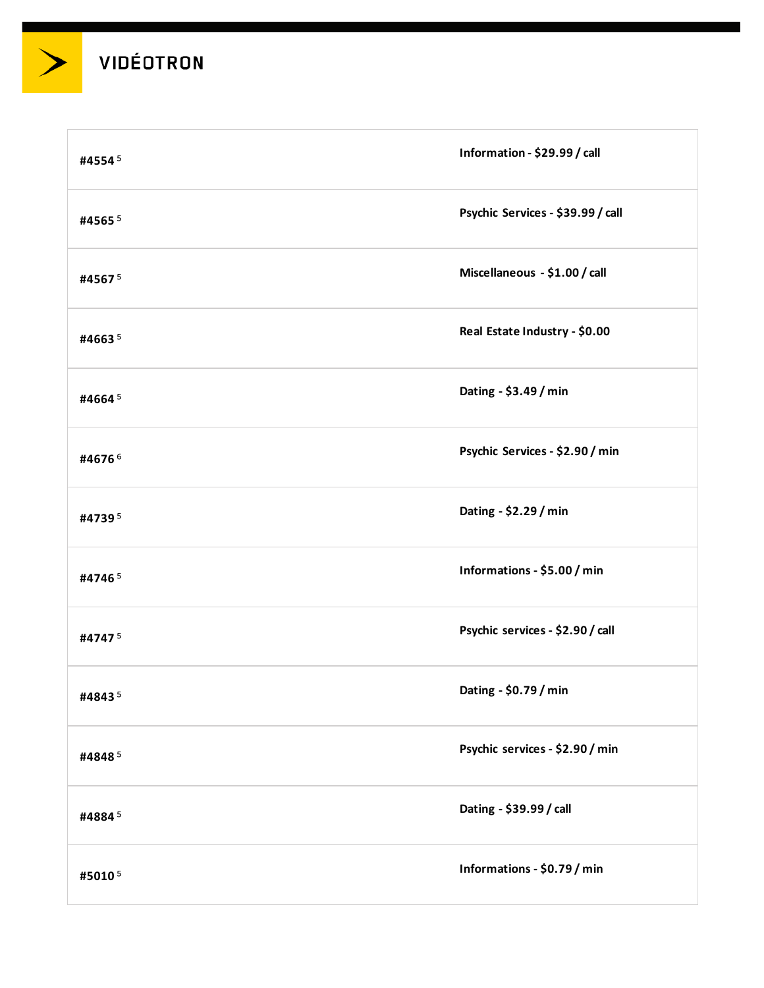| #45545    | Information - \$29.99 / call      |
|-----------|-----------------------------------|
| #4565 $5$ | Psychic Services - \$39.99 / call |
| #45675    | Miscellaneous - \$1.00 / call     |
| #46635    | Real Estate Industry - \$0.00     |
| #46645    | Dating - \$3.49 / min             |
| #46766    | Psychic Services - \$2.90 / min   |
| #47395    | Dating - \$2.29 / min             |
| #47465    | Informations - \$5.00 / min       |
| #47475    | Psychic services - \$2.90 / call  |
| #48435    | Dating - \$0.79 / min             |
| #48485    | Psychic services - \$2.90 / min   |
| #48845    | Dating - \$39.99 / call           |
| #50105    | Informations - \$0.79 / min       |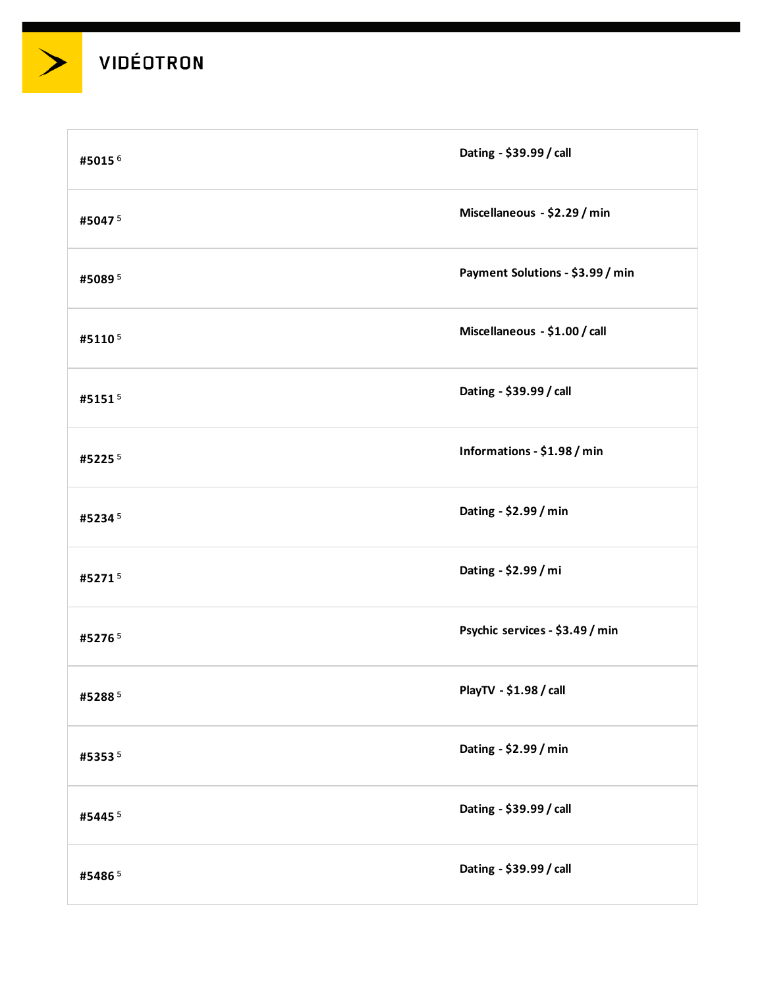| #50156    | Dating - \$39.99 / call          |
|-----------|----------------------------------|
| #50475    | Miscellaneous - \$2.29 / min     |
| #50895    | Payment Solutions - \$3.99 / min |
| #51105    | Miscellaneous - \$1.00 / call    |
| #51515    | Dating - \$39.99 / call          |
| #52255    | Informations - \$1.98 / min      |
| #52345    | Dating - \$2.99 / min            |
| #52715    | Dating - \$2.99 / mi             |
| #52765    | Psychic services - \$3.49 / min  |
| #52885    | PlayTV - \$1.98 / call           |
| #53535    | Dating - \$2.99 / min            |
| #5445 $5$ | Dating - \$39.99 / call          |
| #54865    | Dating - \$39.99 / call          |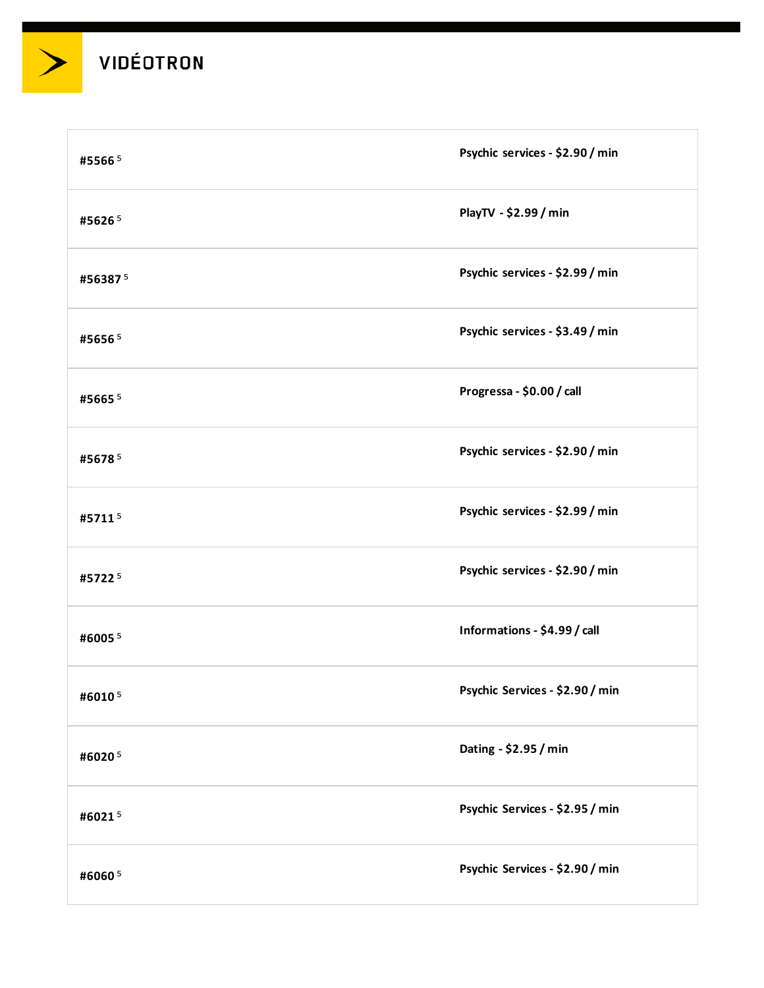

| #55665  | Psychic services - \$2.90 / min |
|---------|---------------------------------|
| #56265  | PlayTV - \$2.99 / min           |
| #563875 | Psychic services - \$2.99 / min |
| #56565  | Psychic services - \$3.49 / min |
| #56655  | Progressa - \$0.00 / call       |
| #56785  | Psychic services - \$2.90 / min |
| #57115  | Psychic services - \$2.99 / min |
| #57225  | Psychic services - \$2.90 / min |
| #60055  | Informations - \$4.99 / call    |
| #60105  | Psychic Services - \$2.90 / min |
| #60205  | Dating - \$2.95 / min           |
| #60215  | Psychic Services - \$2.95 / min |
| #60605  | Psychic Services - \$2.90 / min |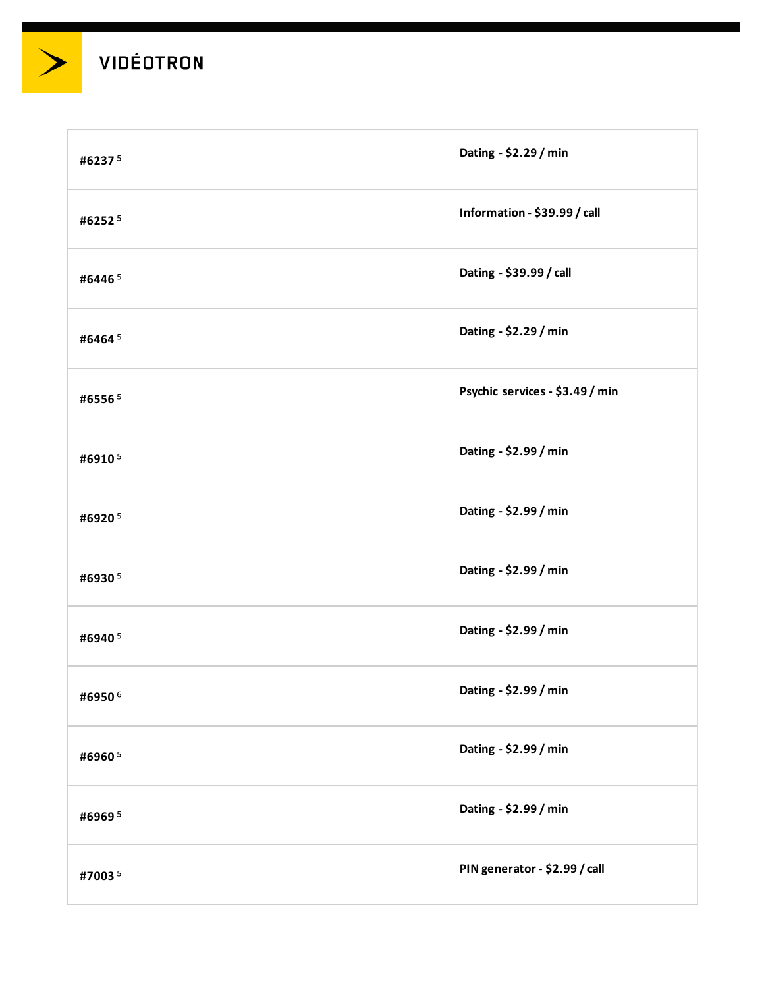

| #62375 | Dating - \$2.29 / min           |
|--------|---------------------------------|
| #62525 | Information - \$39.99 / call    |
| #64465 | Dating - \$39.99 / call         |
| #64645 | Dating - \$2.29 / min           |
| #65565 | Psychic services - \$3.49 / min |
| #69105 | Dating - \$2.99 / min           |
| #69205 | Dating - \$2.99 / min           |
| #69305 | Dating - \$2.99 / min           |
| #69405 | Dating - \$2.99 / min           |
| #69506 | Dating - \$2.99 / min           |
| #69605 | Dating - \$2.99 / min           |
| #69695 | Dating - \$2.99 / min           |
| #70035 | PIN generator - \$2.99 / call   |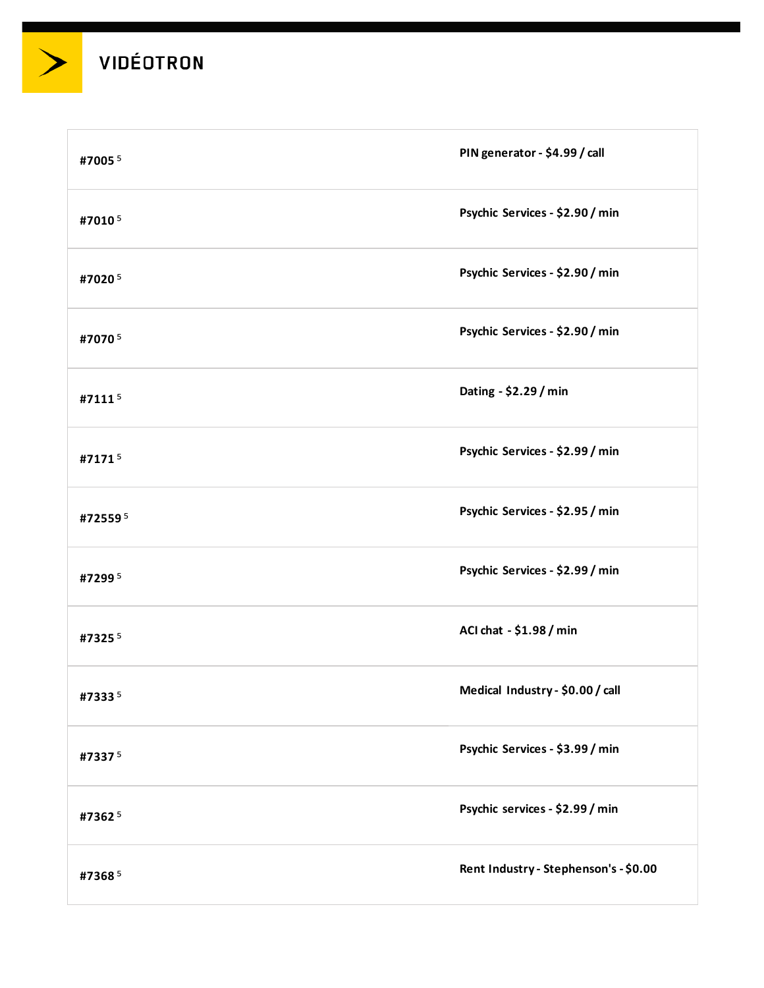| #7005 $5$ | PIN generator - \$4.99 / call         |
|-----------|---------------------------------------|
| #70105    | Psychic Services - \$2.90 / min       |
| #70205    | Psychic Services - \$2.90 / min       |
| #70705    | Psychic Services - \$2.90 / min       |
| #71115    | Dating - \$2.29 / min                 |
| #71715    | Psychic Services - \$2.99 / min       |
| #725595   | Psychic Services - \$2.95 / min       |
| #72995    | Psychic Services - \$2.99 / min       |
| #73255    | ACI chat - \$1.98 / min               |
| #73335    | Medical Industry - \$0.00 / call      |
| #73375    | Psychic Services - \$3.99 / min       |
| #73625    | Psychic services - \$2.99 / min       |
| #73685    | Rent Industry - Stephenson's - \$0.00 |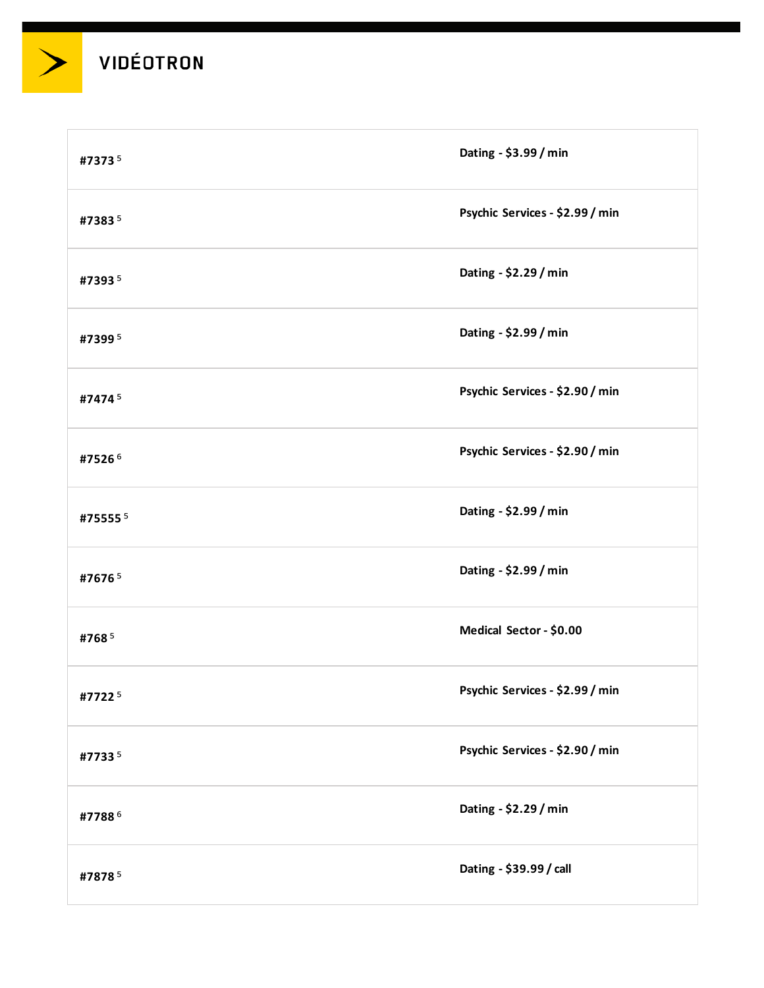| #73735  | Dating - \$3.99 / min           |
|---------|---------------------------------|
| #73835  | Psychic Services - \$2.99 / min |
| #73935  | Dating - \$2.29 / min           |
| #73995  | Dating - \$2.99 / min           |
| #74745  | Psychic Services - \$2.90 / min |
| #75266  | Psychic Services - \$2.90 / min |
| #755555 | Dating - \$2.99 / min           |
| #76765  | Dating - \$2.99 / min           |
| #7685   | Medical Sector - \$0.00         |
| #77225  | Psychic Services - \$2.99 / min |
| #77335  | Psychic Services - \$2.90 / min |
| #77886  | Dating - \$2.29 / min           |
| #78785  | Dating - \$39.99 / call         |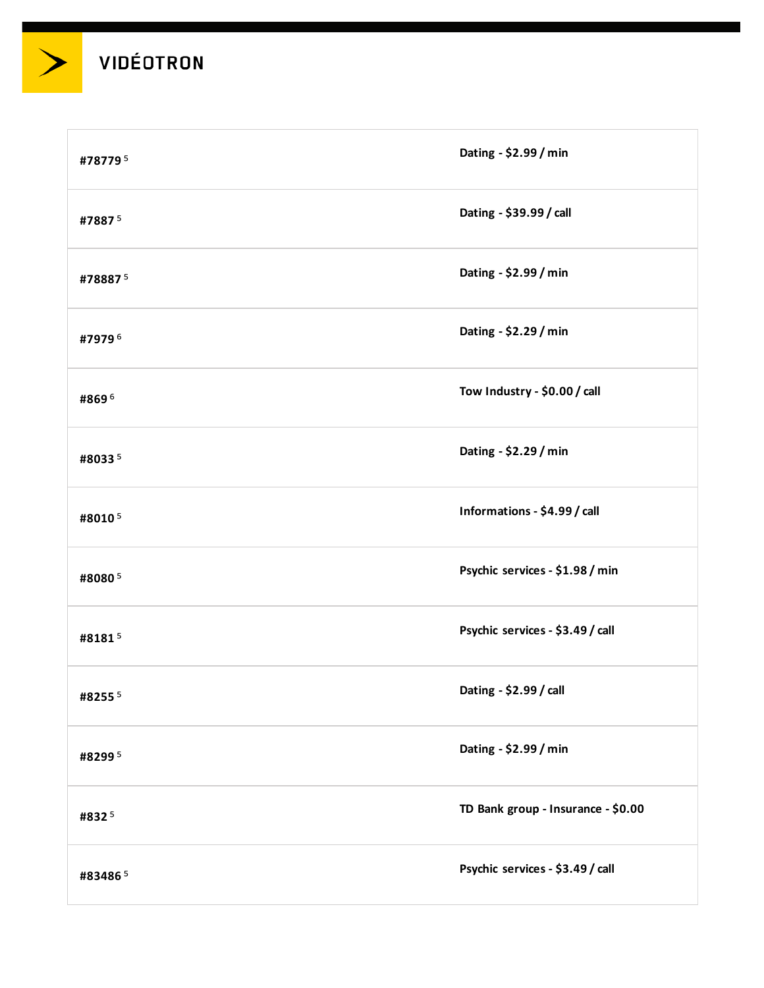| #787795   | Dating - \$2.99 / min              |
|-----------|------------------------------------|
| #78875    | Dating - \$39.99 / call            |
| #788875   | Dating - \$2.99 / min              |
| #79796    | Dating - \$2.29 / min              |
| #8696     | Tow Industry - \$0.00 / call       |
| #80335    | Dating - \$2.29 / min              |
| #80105    | Informations - \$4.99 / call       |
| #80805    | Psychic services - \$1.98 / min    |
| #81815    | Psychic services - \$3.49 / call   |
| #8255 $5$ | Dating - \$2.99 / call             |
| #82995    | Dating - \$2.99 / min              |
| #8325     | TD Bank group - Insurance - \$0.00 |
| #834865   | Psychic services - \$3.49 / call   |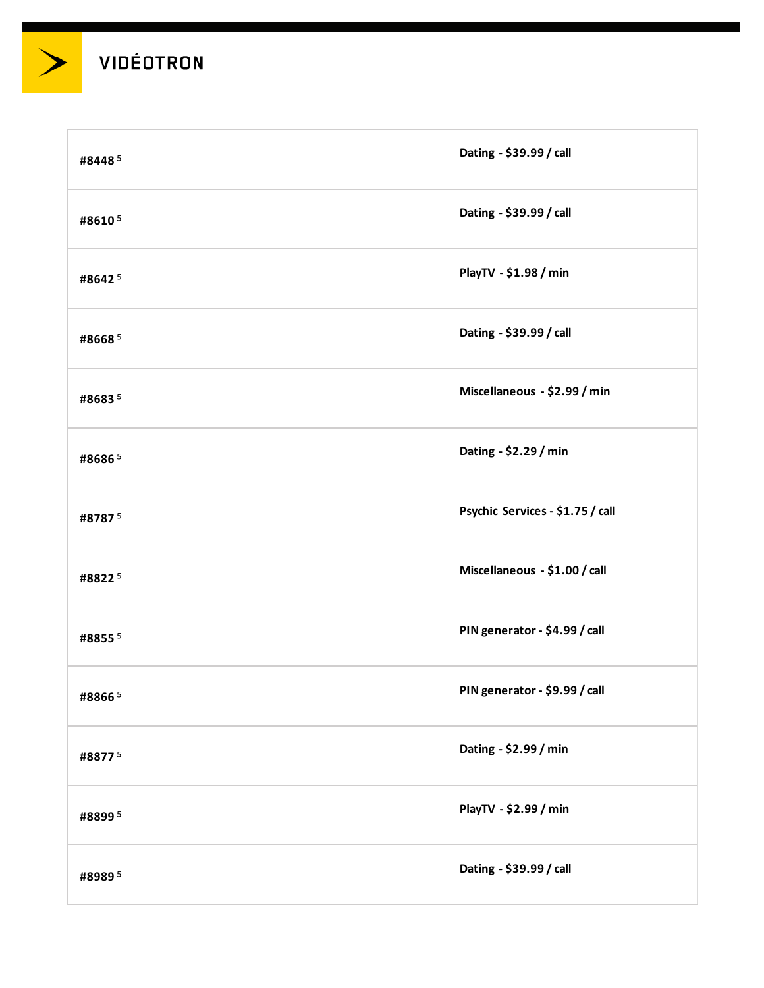

| #84485 | Dating - \$39.99 / call          |
|--------|----------------------------------|
| #86105 | Dating - \$39.99 / call          |
| #86425 | PlayTV - \$1.98 / min            |
| #86685 | Dating - \$39.99 / call          |
| #86835 | Miscellaneous - \$2.99 / min     |
| #86865 | Dating - \$2.29 / min            |
| #87875 | Psychic Services - \$1.75 / call |
| #88225 | Miscellaneous - \$1.00 / call    |
| #88555 | PIN generator - \$4.99 / call    |
| #88665 | PIN generator - \$9.99 / call    |
| #88775 | Dating - \$2.99 / min            |
| #88995 | PlayTV - \$2.99 / min            |
| #89895 | Dating - \$39.99 / call          |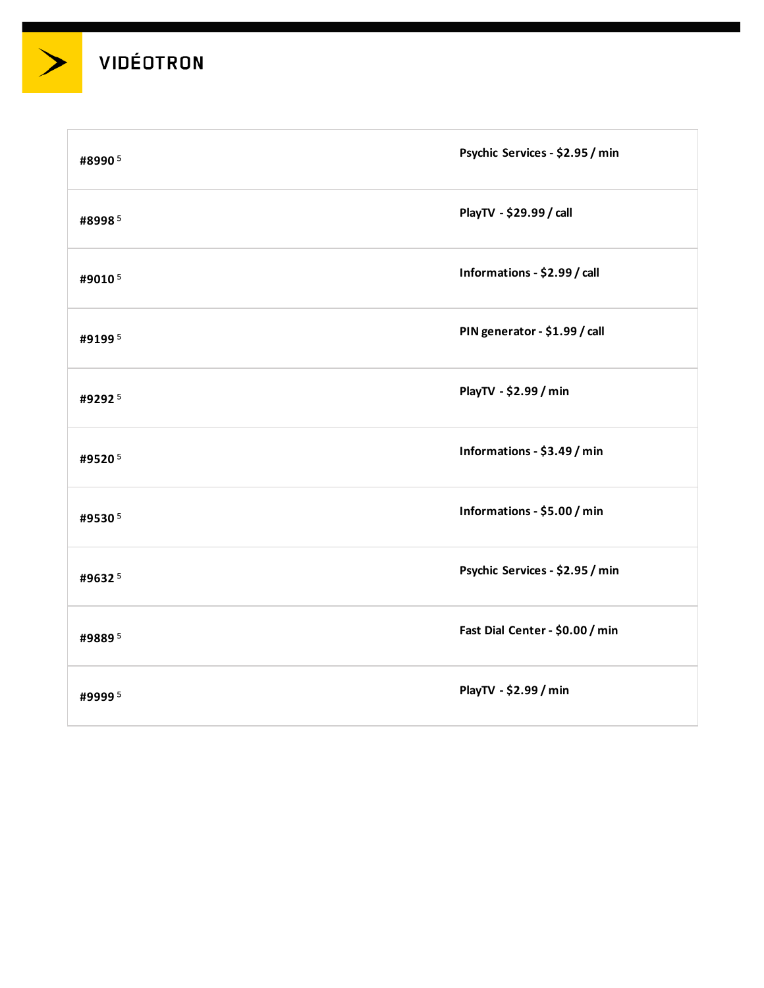

| #89905 | Psychic Services - \$2.95 / min |
|--------|---------------------------------|
| #89985 | PlayTV - \$29.99 / call         |
| #90105 | Informations - \$2.99 / call    |
| #91995 | PIN generator - \$1.99 / call   |
| #92925 | PlayTV - \$2.99 / min           |
| #95205 | Informations - \$3.49 / min     |
| #95305 | Informations - \$5.00 / min     |
| #96325 | Psychic Services - \$2.95 / min |
| #98895 | Fast Dial Center - \$0.00 / min |
| #99995 | PlayTV - \$2.99 / min           |